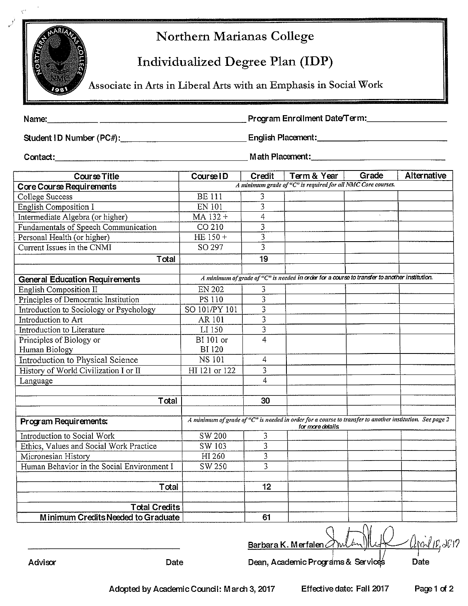

# Northern Marianas College

## Individualized Degree Plan (IDP)

Associate in Arts in Liberal Arts with an Emphasis in Social Work

Program Enrollment Date/Term: Name:

| <b>Course Title</b>                        | Course ID        | Credit                  | Term & Year                                                                                                                  | Grade        | Alternative |
|--------------------------------------------|------------------|-------------------------|------------------------------------------------------------------------------------------------------------------------------|--------------|-------------|
| Core Course Requirements                   |                  |                         | A minimum grade of "C" is required for all NMC Core courses.                                                                 |              |             |
| College Success                            | <b>BE111</b>     | 3                       |                                                                                                                              |              |             |
| <b>English Composition I</b>               | <b>EN 101</b>    | $\overline{3}$          |                                                                                                                              |              |             |
| Intermediate Algebra (or higher)           | MA 132+          | $\overline{4}$          |                                                                                                                              | $\mathbf{v}$ |             |
| Fundamentals of Speech Communication       | CO 210           | 3                       |                                                                                                                              |              |             |
| Personal Health (or higher)                | HE 150 +         | $\overline{3}$          |                                                                                                                              |              |             |
| Current Issues in the CNMI                 | SO 297           | $\overline{3}$          |                                                                                                                              |              |             |
| Total                                      |                  | 19                      |                                                                                                                              |              |             |
|                                            |                  |                         |                                                                                                                              |              |             |
| <b>General Education Requirements</b>      |                  |                         | A minimum of grade of "C" is needed in order for a course to transfer to another institution.                                |              |             |
| <b>English Composition II</b>              | <b>EN 202</b>    | 3                       |                                                                                                                              |              |             |
| Principles of Democratic Institution       | PS 110           | $\overline{3}$          |                                                                                                                              |              |             |
| Introduction to Sociology or Psychology    | SO 101/PY 101    | $\overline{3}$          |                                                                                                                              |              |             |
| Introduction to Art                        | AR 101           | $\overline{\mathbf{3}}$ |                                                                                                                              |              |             |
| Introduction to Literature                 | LI 150           | $\overline{3}$          |                                                                                                                              |              |             |
| Principles of Biology or                   | <b>BI</b> 101 or | 4                       |                                                                                                                              |              |             |
| Human Biology                              | <b>BI120</b>     |                         |                                                                                                                              |              |             |
| <b>Introduction to Physical Science</b>    | <b>NS 101</b>    | 4                       |                                                                                                                              |              |             |
| History of World Civilization I or II      | HI 121 or 122    | 3                       |                                                                                                                              |              |             |
| Language                                   |                  | 4                       |                                                                                                                              |              |             |
|                                            |                  |                         |                                                                                                                              |              |             |
| Total                                      |                  | 30                      |                                                                                                                              |              |             |
|                                            |                  |                         |                                                                                                                              |              |             |
| Program Requirements:                      |                  |                         | A minimum of grade of "C" is needed in order for a course to transfer to another institution. See page 2<br>for more details |              |             |
| Introduction to Social Work                | SW 200           | 3                       |                                                                                                                              |              |             |
| Ethics, Values and Social Work Practice    | SW 103           | 3                       |                                                                                                                              |              |             |
| Micronesian History                        | HI 260           | 3                       |                                                                                                                              |              |             |
| Human Behavior in the Social Environment I | SW 250           | $\overline{3}$          |                                                                                                                              |              |             |
|                                            |                  |                         |                                                                                                                              |              |             |
| Total                                      |                  | 12                      |                                                                                                                              |              |             |
|                                            |                  |                         |                                                                                                                              |              |             |
| <b>Total Credits</b>                       |                  |                         |                                                                                                                              |              |             |
| Minimum Credits Needed to Graduate         |                  | 61                      |                                                                                                                              | $\sim$       |             |

 $2017$ Barbara K. Merfalen

Advisor

Dean, Academic Programs & Services

Date